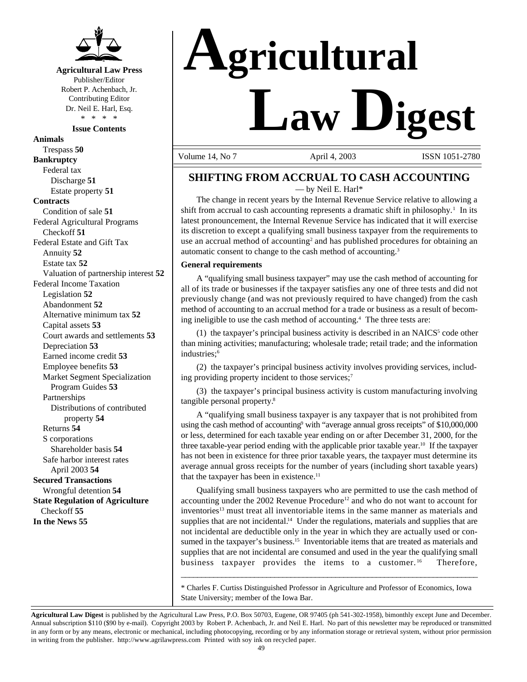

**Agricultural Law Press** Publisher/Editor Robert P. Achenbach, Jr. Contributing Editor Dr. Neil E. Harl, Esq. \* \* \* \*

**Issue Contents**

**Animals** Trespass **50 Bankruptcy** Federal tax Discharge **51** Estate property **51 Contracts** Condition of sale **51** Federal Agricultural Programs Checkoff **51** Federal Estate and Gift Tax Annuity **52** Estate tax **52** Valuation of partnership interest **52** Federal Income Taxation Legislation **52** Abandonment **52** Alternative minimum tax **52** Capital assets **53** Court awards and settlements **53** Depreciation **53** Earned income credit **53** Employee benefits **53** Market Segment Specialization Program Guides **53** Partnerships Distributions of contributed property **54** Returns **54** S corporations Shareholder basis **54** Safe harbor interest rates April 2003 **54 Secured Transactions** Wrongful detention **54 State Regulation of Agriculture** Checkoff **55 In the News 55**

# **Agricultural Law Digest**

Volume 14, No 7 **April 4, 2003** ISSN 1051-2780

### **SHIFTING FROM ACCRUAL TO CASH ACCOUNTING**

— by Neil E. Harl\*

The change in recent years by the Internal Revenue Service relative to allowing a shift from accrual to cash accounting represents a dramatic shift in philosophy.<sup>1</sup> In its latest pronouncement, the Internal Revenue Service has indicated that it will exercise its discretion to except a qualifying small business taxpayer from the requirements to use an accrual method of accounting<sup>2</sup> and has published procedures for obtaining an automatic consent to change to the cash method of accounting.3

#### **General requirements**

A "qualifying small business taxpayer" may use the cash method of accounting for all of its trade or businesses if the taxpayer satisfies any one of three tests and did not previously change (and was not previously required to have changed) from the cash method of accounting to an accrual method for a trade or business as a result of becoming ineligible to use the cash method of accounting.<sup>4</sup> The three tests are:

 $(1)$  the taxpayer's principal business activity is described in an NAICS<sup>5</sup> code other than mining activities; manufacturing; wholesale trade; retail trade; and the information industries;<sup>6</sup>

(2) the taxpayer's principal business activity involves providing services, including providing property incident to those services;<sup>7</sup>

(3) the taxpayer's principal business activity is custom manufacturing involving tangible personal property.8

A "qualifying small business taxpayer is any taxpayer that is not prohibited from using the cash method of accounting<sup>9</sup> with "average annual gross receipts" of \$10,000,000 or less, determined for each taxable year ending on or after December 31, 2000, for the three taxable-year period ending with the applicable prior taxable year.<sup>10</sup> If the taxpayer has not been in existence for three prior taxable years, the taxpayer must determine its average annual gross receipts for the number of years (including short taxable years) that the taxpayer has been in existence.<sup>11</sup>

Qualifying small business taxpayers who are permitted to use the cash method of accounting under the 2002 Revenue Procedure<sup>12</sup> and who do not want to account for inventories<sup>13</sup> must treat all inventoriable items in the same manner as materials and supplies that are not incidental.<sup>14</sup> Under the regulations, materials and supplies that are not incidental are deductible only in the year in which they are actually used or consumed in the taxpayer's business.<sup>15</sup> Inventoriable items that are treated as materials and supplies that are not incidental are consumed and used in the year the qualifying small business taxpayer provides the items to a customer.<sup>16</sup> Therefore,

\* Charles F. Curtiss Distinguished Professor in Agriculture and Professor of Economics, Iowa State University; member of the Iowa Bar.

\_\_\_\_\_\_\_\_\_\_\_\_\_\_\_\_\_\_\_\_\_\_\_\_\_\_\_\_\_\_\_\_\_\_\_\_\_\_\_\_\_\_\_\_\_\_\_\_\_\_\_\_\_\_\_\_\_\_\_\_\_\_\_\_\_\_\_\_\_\_\_\_\_

**Agricultural Law Digest** is published by the Agricultural Law Press, P.O. Box 50703, Eugene, OR 97405 (ph 541-302-1958), bimonthly except June and December. Annual subscription \$110 (\$90 by e-mail). Copyright 2003 by Robert P. Achenbach, Jr. and Neil E. Harl. No part of this newsletter may be reproduced or transmitted in any form or by any means, electronic or mechanical, including photocopying, recording or by any information storage or retrieval system, without prior permission in writing from the publisher. http://www.agrilawpress.com Printed with soy ink on recycled paper.